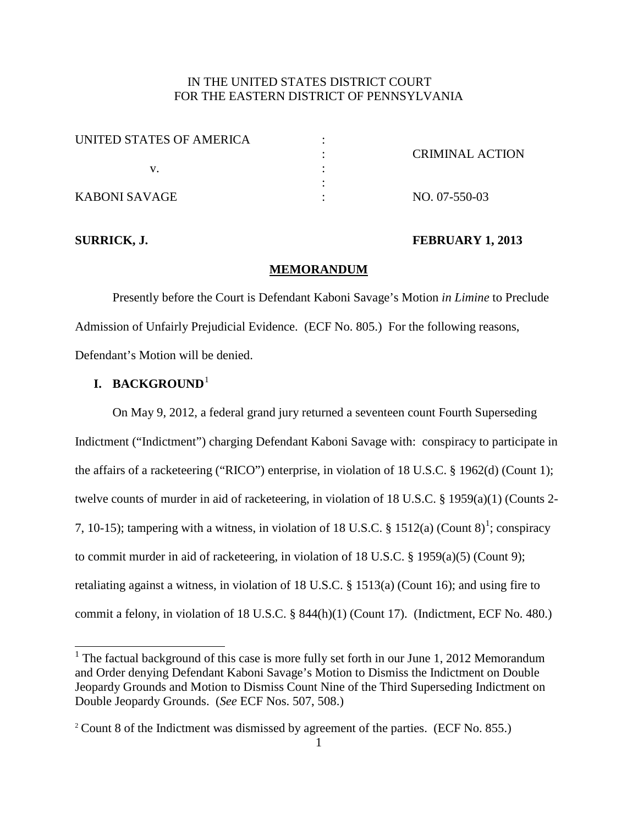# IN THE UNITED STATES DISTRICT COURT FOR THE EASTERN DISTRICT OF PENNSYLVANIA

| UNITED STATES OF AMERICA |                        |
|--------------------------|------------------------|
|                          | <b>CRIMINAL ACTION</b> |
|                          |                        |
|                          |                        |
| KABONI SAVAGE            | NO. 07-550-03          |

## **SURRICK, J. FEBRUARY 1, 2013**

#### **MEMORANDUM**

Presently before the Court is Defendant Kaboni Savage's Motion *in Limine* to Preclude Admission of Unfairly Prejudicial Evidence. (ECF No. 805.) For the following reasons, Defendant's Motion will be denied.

# **I. BACKGROUND**[1](#page-0-0)

On May 9, 2012, a federal grand jury returned a seventeen count Fourth Superseding Indictment ("Indictment") charging Defendant Kaboni Savage with: conspiracy to participate in the affairs of a racketeering ("RICO") enterprise, in violation of 18 U.S.C. § 1962(d) (Count 1); twelve counts of murder in aid of racketeering, in violation of 18 U.S.C. § 1959(a)(1) (Counts 2- 7, [1](#page-0-1)0-15); tampering with a witness, in violation of 18 U.S.C. § 1512(a) (Count  $8$ <sup>1</sup>; conspiracy to commit murder in aid of racketeering, in violation of 18 U.S.C. § 1959(a)(5) (Count 9); retaliating against a witness, in violation of 18 U.S.C. § 1513(a) (Count 16); and using fire to commit a felony, in violation of 18 U.S.C. § 844(h)(1) (Count 17). (Indictment, ECF No. 480.)

<span id="page-0-0"></span><sup>&</sup>lt;sup>1</sup> The factual background of this case is more fully set forth in our June 1, 2012 Memorandum and Order denying Defendant Kaboni Savage's Motion to Dismiss the Indictment on Double Jeopardy Grounds and Motion to Dismiss Count Nine of the Third Superseding Indictment on Double Jeopardy Grounds. (*See* ECF Nos. 507, 508.)

<span id="page-0-1"></span><sup>2</sup> Count 8 of the Indictment was dismissed by agreement of the parties. (ECF No. 855.)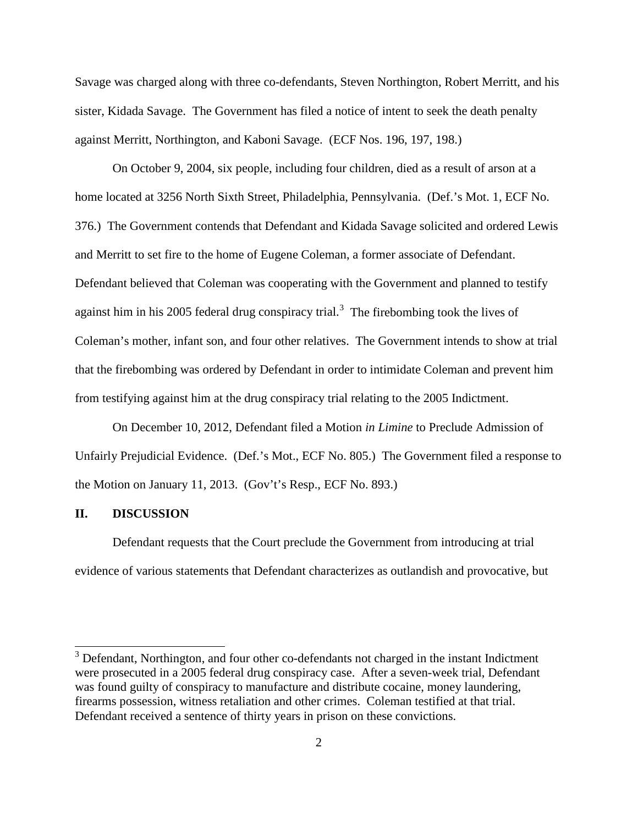Savage was charged along with three co-defendants, Steven Northington, Robert Merritt, and his sister, Kidada Savage. The Government has filed a notice of intent to seek the death penalty against Merritt, Northington, and Kaboni Savage. (ECF Nos. 196, 197, 198.)

On October 9, 2004, six people, including four children, died as a result of arson at a home located at 3256 North Sixth Street, Philadelphia, Pennsylvania. (Def.'s Mot. 1, ECF No. 376.) The Government contends that Defendant and Kidada Savage solicited and ordered Lewis and Merritt to set fire to the home of Eugene Coleman, a former associate of Defendant. Defendant believed that Coleman was cooperating with the Government and planned to testify against him in his 2005 federal drug conspiracy trial.<sup>[3](#page-1-0)</sup> The firebombing took the lives of Coleman's mother, infant son, and four other relatives. The Government intends to show at trial that the firebombing was ordered by Defendant in order to intimidate Coleman and prevent him from testifying against him at the drug conspiracy trial relating to the 2005 Indictment.

On December 10, 2012, Defendant filed a Motion *in Limine* to Preclude Admission of Unfairly Prejudicial Evidence. (Def.'s Mot., ECF No. 805.) The Government filed a response to the Motion on January 11, 2013. (Gov't's Resp., ECF No. 893.)

## **II. DISCUSSION**

Defendant requests that the Court preclude the Government from introducing at trial evidence of various statements that Defendant characterizes as outlandish and provocative, but

<span id="page-1-0"></span> $3$  Defendant, Northington, and four other co-defendants not charged in the instant Indictment were prosecuted in a 2005 federal drug conspiracy case. After a seven-week trial, Defendant was found guilty of conspiracy to manufacture and distribute cocaine, money laundering, firearms possession, witness retaliation and other crimes. Coleman testified at that trial. Defendant received a sentence of thirty years in prison on these convictions.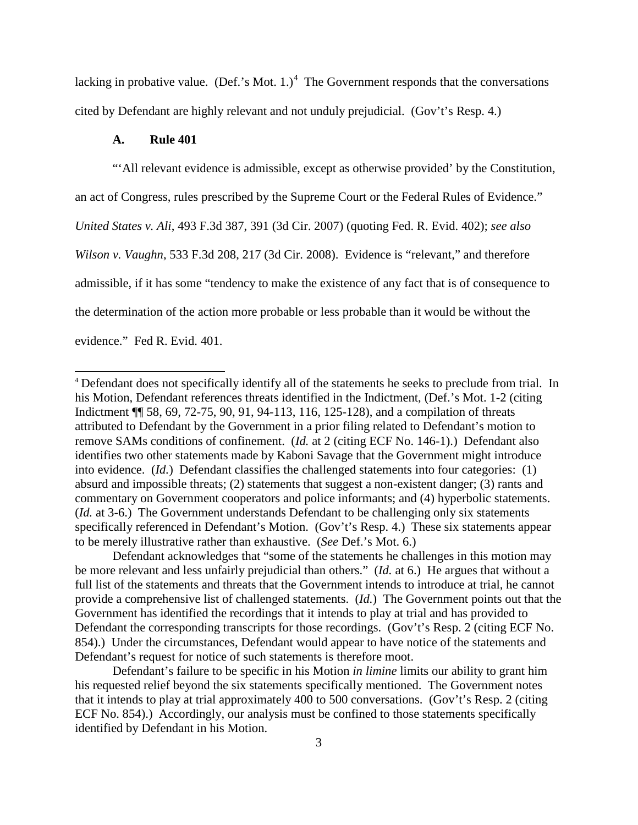lacking in probative value. (Def.'s Mot. 1.)<sup>[4](#page-2-0)</sup> The Government responds that the conversations cited by Defendant are highly relevant and not unduly prejudicial. (Gov't's Resp. 4.)

## **A. Rule 401**

"'All relevant evidence is admissible, except as otherwise provided' by the Constitution, an act of Congress, rules prescribed by the Supreme Court or the Federal Rules of Evidence." *United States v. Ali*, 493 F.3d 387, 391 (3d Cir. 2007) (quoting Fed. R. Evid. 402); *see also Wilson v. Vaughn*, 533 F.3d 208, 217 (3d Cir. 2008). Evidence is "relevant," and therefore admissible, if it has some "tendency to make the existence of any fact that is of consequence to the determination of the action more probable or less probable than it would be without the evidence." Fed R. Evid. 401.

<span id="page-2-0"></span> <sup>4</sup> Defendant does not specifically identify all of the statements he seeks to preclude from trial. In his Motion, Defendant references threats identified in the Indictment, (Def.'s Mot. 1-2 (citing Indictment ¶¶ 58, 69, 72-75, 90, 91, 94-113, 116, 125-128), and a compilation of threats attributed to Defendant by the Government in a prior filing related to Defendant's motion to remove SAMs conditions of confinement. (*Id.* at 2 (citing ECF No. 146-1).) Defendant also identifies two other statements made by Kaboni Savage that the Government might introduce into evidence. (*Id.*) Defendant classifies the challenged statements into four categories: (1) absurd and impossible threats; (2) statements that suggest a non-existent danger; (3) rants and commentary on Government cooperators and police informants; and (4) hyperbolic statements. (*Id.* at 3-6.) The Government understands Defendant to be challenging only six statements specifically referenced in Defendant's Motion. (Gov't's Resp. 4.) These six statements appear to be merely illustrative rather than exhaustive. (*See* Def.'s Mot. 6.)

Defendant acknowledges that "some of the statements he challenges in this motion may be more relevant and less unfairly prejudicial than others." (*Id.* at 6.) He argues that without a full list of the statements and threats that the Government intends to introduce at trial, he cannot provide a comprehensive list of challenged statements. (*Id.*) The Government points out that the Government has identified the recordings that it intends to play at trial and has provided to Defendant the corresponding transcripts for those recordings. (Gov't's Resp. 2 (citing ECF No. 854).) Under the circumstances, Defendant would appear to have notice of the statements and Defendant's request for notice of such statements is therefore moot.

Defendant's failure to be specific in his Motion *in limine* limits our ability to grant him his requested relief beyond the six statements specifically mentioned. The Government notes that it intends to play at trial approximately 400 to 500 conversations. (Gov't's Resp. 2 (citing ECF No. 854).) Accordingly, our analysis must be confined to those statements specifically identified by Defendant in his Motion.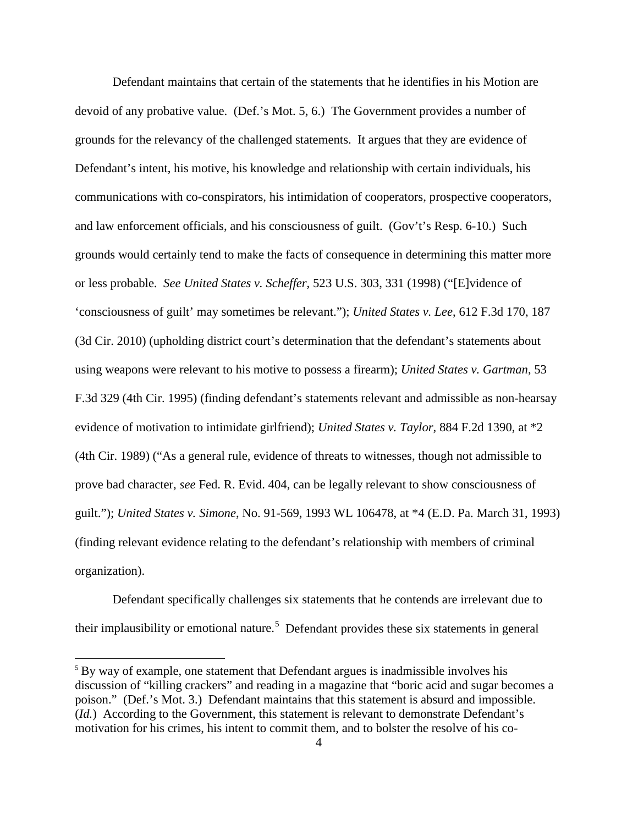Defendant maintains that certain of the statements that he identifies in his Motion are devoid of any probative value. (Def.'s Mot. 5, 6.) The Government provides a number of grounds for the relevancy of the challenged statements. It argues that they are evidence of Defendant's intent, his motive, his knowledge and relationship with certain individuals, his communications with co-conspirators, his intimidation of cooperators, prospective cooperators, and law enforcement officials, and his consciousness of guilt. (Gov't's Resp. 6-10.) Such grounds would certainly tend to make the facts of consequence in determining this matter more or less probable. *See United States v. Scheffer*, 523 U.S. 303, 331 (1998) ("[E]vidence of 'consciousness of guilt' may sometimes be relevant."); *United States v. Lee*, 612 F.3d 170, 187 (3d Cir. 2010) (upholding district court's determination that the defendant's statements about using weapons were relevant to his motive to possess a firearm); *United States v. Gartman*, 53 F.3d 329 (4th Cir. 1995) (finding defendant's statements relevant and admissible as non-hearsay evidence of motivation to intimidate girlfriend); *United States v. Taylor*, 884 F.2d 1390, at \*2 (4th Cir. 1989) ("As a general rule, evidence of threats to witnesses, though not admissible to prove bad character, *see* Fed. R. Evid. 404, can be legally relevant to show consciousness of guilt."); *United States v. Simone*, No. 91-569, 1993 WL 106478, at \*4 (E.D. Pa. March 31, 1993) (finding relevant evidence relating to the defendant's relationship with members of criminal organization).

Defendant specifically challenges six statements that he contends are irrelevant due to their implausibility or emotional nature.<sup>[5](#page-3-0)</sup> Defendant provides these six statements in general

<span id="page-3-0"></span><sup>&</sup>lt;sup>5</sup> By way of example, one statement that Defendant argues is inadmissible involves his discussion of "killing crackers" and reading in a magazine that "boric acid and sugar becomes a poison." (Def.'s Mot. 3.) Defendant maintains that this statement is absurd and impossible. (*Id.*) According to the Government, this statement is relevant to demonstrate Defendant's motivation for his crimes, his intent to commit them, and to bolster the resolve of his co-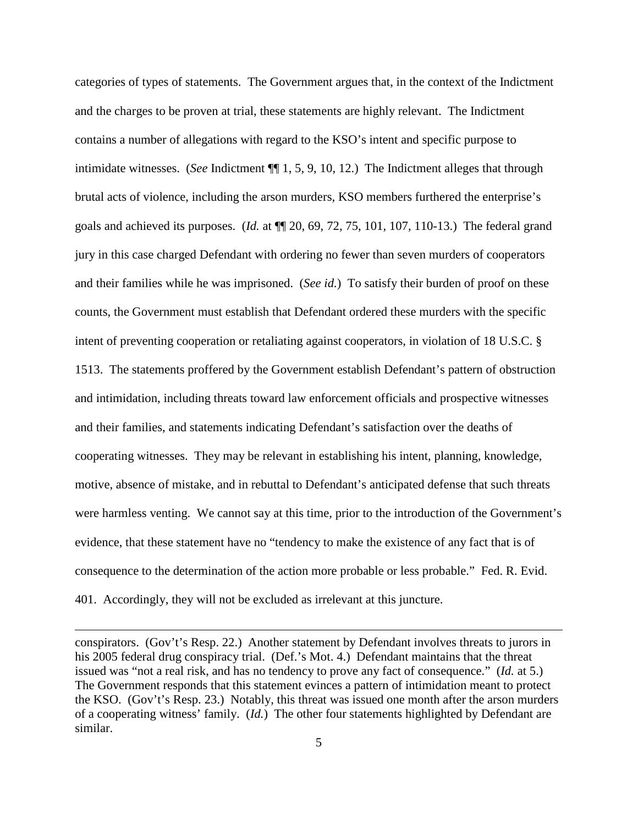categories of types of statements. The Government argues that, in the context of the Indictment and the charges to be proven at trial, these statements are highly relevant. The Indictment contains a number of allegations with regard to the KSO's intent and specific purpose to intimidate witnesses. (*See* Indictment ¶¶ 1, 5, 9, 10, 12.) The Indictment alleges that through brutal acts of violence, including the arson murders, KSO members furthered the enterprise's goals and achieved its purposes. (*Id.* at ¶¶ 20, 69, 72, 75, 101, 107, 110-13.) The federal grand jury in this case charged Defendant with ordering no fewer than seven murders of cooperators and their families while he was imprisoned. (*See id.*) To satisfy their burden of proof on these counts, the Government must establish that Defendant ordered these murders with the specific intent of preventing cooperation or retaliating against cooperators, in violation of 18 U.S.C. § 1513. The statements proffered by the Government establish Defendant's pattern of obstruction and intimidation, including threats toward law enforcement officials and prospective witnesses and their families, and statements indicating Defendant's satisfaction over the deaths of cooperating witnesses. They may be relevant in establishing his intent, planning, knowledge, motive, absence of mistake, and in rebuttal to Defendant's anticipated defense that such threats were harmless venting. We cannot say at this time, prior to the introduction of the Government's evidence, that these statement have no "tendency to make the existence of any fact that is of consequence to the determination of the action more probable or less probable." Fed. R. Evid. 401. Accordingly, they will not be excluded as irrelevant at this juncture.

 $\overline{a}$ 

conspirators. (Gov't's Resp. 22.) Another statement by Defendant involves threats to jurors in his 2005 federal drug conspiracy trial. (Def.'s Mot. 4.) Defendant maintains that the threat issued was "not a real risk, and has no tendency to prove any fact of consequence." (*Id.* at 5.) The Government responds that this statement evinces a pattern of intimidation meant to protect the KSO. (Gov't's Resp. 23.) Notably, this threat was issued one month after the arson murders of a cooperating witness' family. (*Id.*) The other four statements highlighted by Defendant are similar.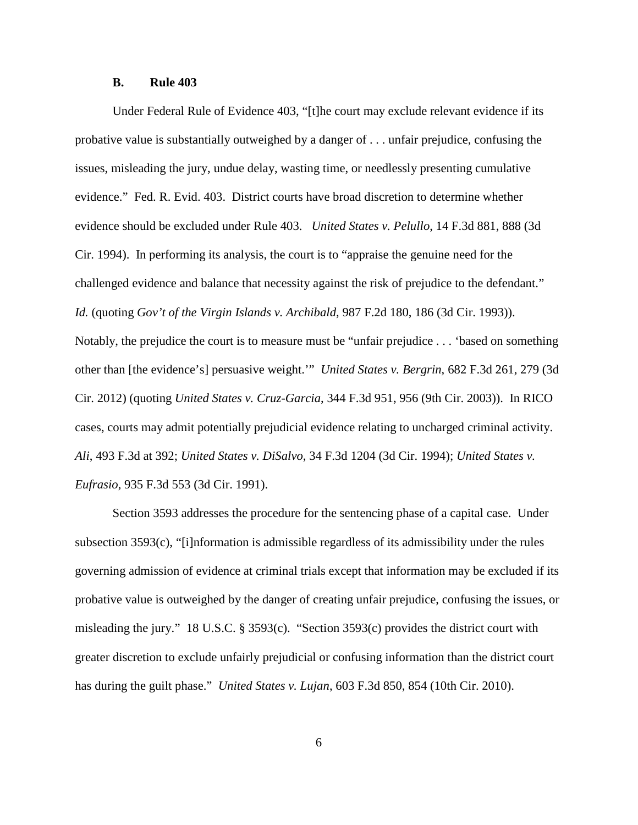#### **B. Rule 403**

Under Federal Rule of Evidence 403, "[t]he court may exclude relevant evidence if its probative value is substantially outweighed by a danger of . . . unfair prejudice, confusing the issues, misleading the jury, undue delay, wasting time, or needlessly presenting cumulative evidence." Fed. R. Evid. 403. District courts have broad discretion to determine whether evidence should be excluded under Rule 403. *United States v. Pelullo*, 14 F.3d 881, 888 (3d Cir. 1994). In performing its analysis, the court is to "appraise the genuine need for the challenged evidence and balance that necessity against the risk of prejudice to the defendant." *Id.* (quoting *Gov't of the Virgin Islands v. Archibald*, 987 F.2d 180, 186 (3d Cir. 1993)). Notably, the prejudice the court is to measure must be "unfair prejudice . . . 'based on something other than [the evidence's] persuasive weight.'" *United States v. Bergrin*, 682 F.3d 261, 279 (3d Cir. 2012) (quoting *United States v. Cruz-Garcia*, 344 F.3d 951, 956 (9th Cir. 2003)). In RICO cases, courts may admit potentially prejudicial evidence relating to uncharged criminal activity. *Ali*, 493 F.3d at 392; *United States v. DiSalvo*, 34 F.3d 1204 (3d Cir. 1994); *United States v. Eufrasio*, 935 F.3d 553 (3d Cir. 1991).

Section 3593 addresses the procedure for the sentencing phase of a capital case. Under subsection 3593(c), "[i]nformation is admissible regardless of its admissibility under the rules governing admission of evidence at criminal trials except that information may be excluded if its probative value is outweighed by the danger of creating unfair prejudice, confusing the issues, or misleading the jury." 18 U.S.C. § 3593(c). "Section 3593(c) provides the district court with greater discretion to exclude unfairly prejudicial or confusing information than the district court has during the guilt phase." *United States v. Lujan*, 603 F.3d 850, 854 (10th Cir. 2010).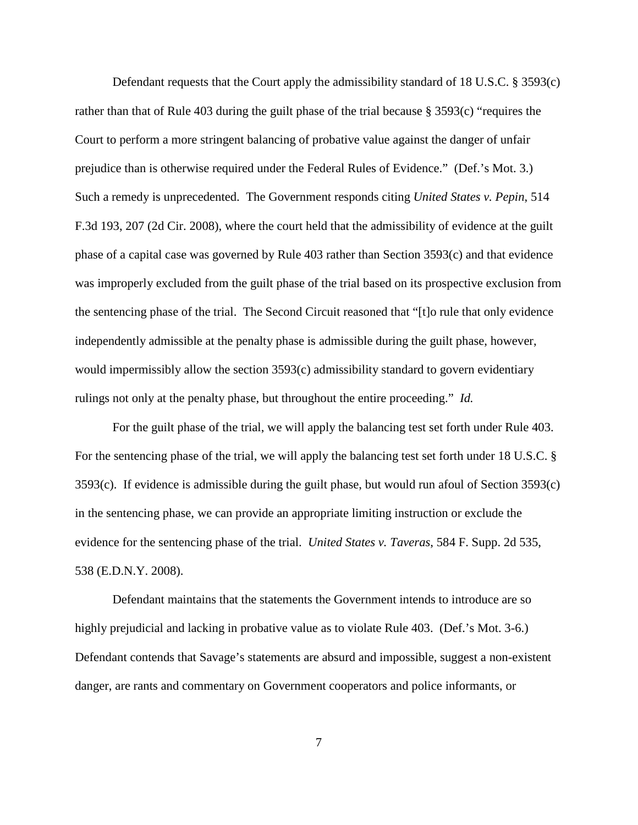Defendant requests that the Court apply the admissibility standard of 18 U.S.C. § 3593(c) rather than that of Rule 403 during the guilt phase of the trial because § 3593(c) "requires the Court to perform a more stringent balancing of probative value against the danger of unfair prejudice than is otherwise required under the Federal Rules of Evidence." (Def.'s Mot. 3.) Such a remedy is unprecedented. The Government responds citing *United States v. Pepin*, 514 F.3d 193, 207 (2d Cir. 2008), where the court held that the admissibility of evidence at the guilt phase of a capital case was governed by Rule 403 rather than Section 3593(c) and that evidence was improperly excluded from the guilt phase of the trial based on its prospective exclusion from the sentencing phase of the trial. The Second Circuit reasoned that "[t]o rule that only evidence independently admissible at the penalty phase is admissible during the guilt phase, however, would impermissibly allow the section 3593(c) admissibility standard to govern evidentiary rulings not only at the penalty phase, but throughout the entire proceeding." *Id.*

For the guilt phase of the trial, we will apply the balancing test set forth under Rule 403. For the sentencing phase of the trial, we will apply the balancing test set forth under 18 U.S.C. § 3593(c). If evidence is admissible during the guilt phase, but would run afoul of Section 3593(c) in the sentencing phase, we can provide an appropriate limiting instruction or exclude the evidence for the sentencing phase of the trial. *United States v. Taveras*, 584 F. Supp. 2d 535, 538 (E.D.N.Y. 2008).

Defendant maintains that the statements the Government intends to introduce are so highly prejudicial and lacking in probative value as to violate Rule 403. (Def.'s Mot. 3-6.) Defendant contends that Savage's statements are absurd and impossible, suggest a non-existent danger, are rants and commentary on Government cooperators and police informants, or

7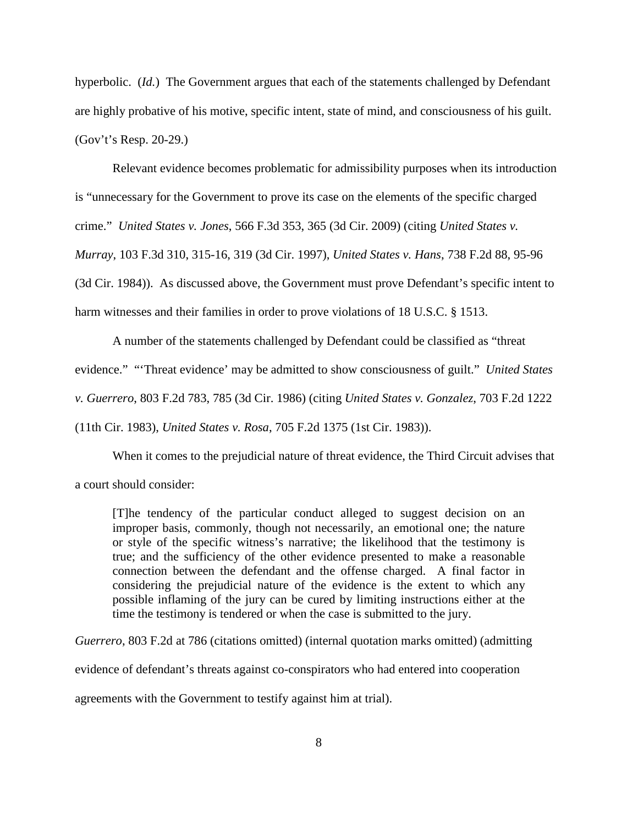hyperbolic. (*Id.*) The Government argues that each of the statements challenged by Defendant are highly probative of his motive, specific intent, state of mind, and consciousness of his guilt. (Gov't's Resp. 20-29.)

Relevant evidence becomes problematic for admissibility purposes when its introduction

is "unnecessary for the Government to prove its case on the elements of the specific charged

crime." *United States v. Jones*, 566 F.3d 353, 365 (3d Cir. 2009) (citing *United States v.* 

*Murray*, 103 F.3d 310, 315-16, 319 (3d Cir. 1997), *United States v. Hans*, 738 F.2d 88, 95-96

(3d Cir. 1984)). As discussed above, the Government must prove Defendant's specific intent to

harm witnesses and their families in order to prove violations of 18 U.S.C. § 1513.

A number of the statements challenged by Defendant could be classified as "threat evidence." "'Threat evidence' may be admitted to show consciousness of guilt." *United States v. Guerrero*, 803 F.2d 783, 785 (3d Cir. 1986) (citing *United States v. Gonzalez*, 703 F.2d 1222

(11th Cir. 1983), *United States v. Rosa*, 705 F.2d 1375 (1st Cir. 1983)).

When it comes to the prejudicial nature of threat evidence, the Third Circuit advises that a court should consider:

[T]he tendency of the particular conduct alleged to suggest decision on an improper basis, commonly, though not necessarily, an emotional one; the nature or style of the specific witness's narrative; the likelihood that the testimony is true; and the sufficiency of the other evidence presented to make a reasonable connection between the defendant and the offense charged. A final factor in considering the prejudicial nature of the evidence is the extent to which any possible inflaming of the jury can be cured by limiting instructions either at the time the testimony is tendered or when the case is submitted to the jury.

*Guerrero*, 803 F.2d at 786 (citations omitted) (internal quotation marks omitted) (admitting

evidence of defendant's threats against co-conspirators who had entered into cooperation

agreements with the Government to testify against him at trial).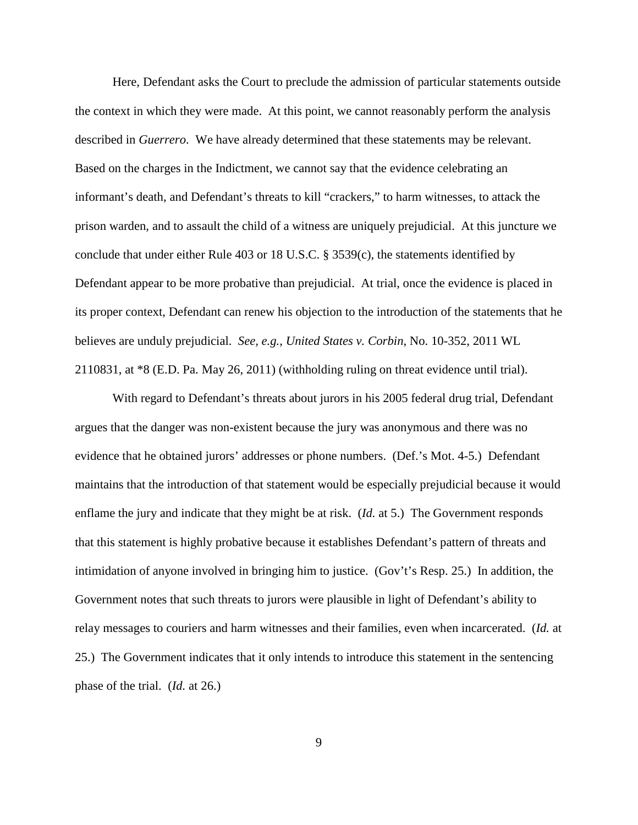Here, Defendant asks the Court to preclude the admission of particular statements outside the context in which they were made. At this point, we cannot reasonably perform the analysis described in *Guerrero*. We have already determined that these statements may be relevant. Based on the charges in the Indictment, we cannot say that the evidence celebrating an informant's death, and Defendant's threats to kill "crackers," to harm witnesses, to attack the prison warden, and to assault the child of a witness are uniquely prejudicial. At this juncture we conclude that under either Rule 403 or 18 U.S.C. § 3539(c), the statements identified by Defendant appear to be more probative than prejudicial. At trial, once the evidence is placed in its proper context, Defendant can renew his objection to the introduction of the statements that he believes are unduly prejudicial. *See, e.g.*, *United States v. Corbin*, No. 10-352, 2011 WL 2110831, at \*8 (E.D. Pa. May 26, 2011) (withholding ruling on threat evidence until trial).

With regard to Defendant's threats about jurors in his 2005 federal drug trial, Defendant argues that the danger was non-existent because the jury was anonymous and there was no evidence that he obtained jurors' addresses or phone numbers. (Def.'s Mot. 4-5.) Defendant maintains that the introduction of that statement would be especially prejudicial because it would enflame the jury and indicate that they might be at risk. (*Id.* at 5.) The Government responds that this statement is highly probative because it establishes Defendant's pattern of threats and intimidation of anyone involved in bringing him to justice. (Gov't's Resp. 25.) In addition, the Government notes that such threats to jurors were plausible in light of Defendant's ability to relay messages to couriers and harm witnesses and their families, even when incarcerated. (*Id.* at 25.) The Government indicates that it only intends to introduce this statement in the sentencing phase of the trial. (*Id.* at 26.)

9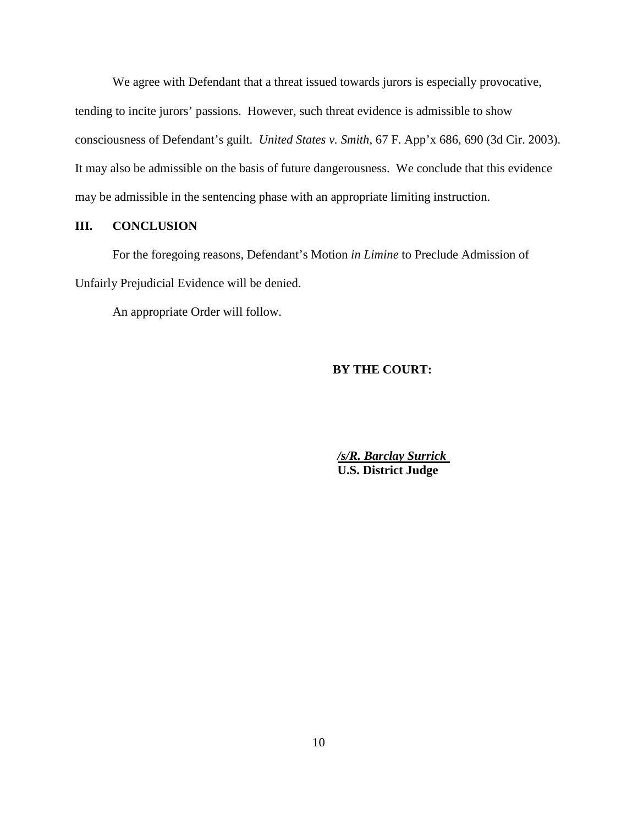We agree with Defendant that a threat issued towards jurors is especially provocative, tending to incite jurors' passions. However, such threat evidence is admissible to show consciousness of Defendant's guilt. *United States v. Smith*, 67 F. App'x 686, 690 (3d Cir. 2003). It may also be admissible on the basis of future dangerousness. We conclude that this evidence may be admissible in the sentencing phase with an appropriate limiting instruction.

## **III. CONCLUSION**

For the foregoing reasons, Defendant's Motion *in Limine* to Preclude Admission of Unfairly Prejudicial Evidence will be denied.

An appropriate Order will follow.

#### **BY THE COURT:**

*/s/R. Barclay Surrick*  **U.S. District Judge**